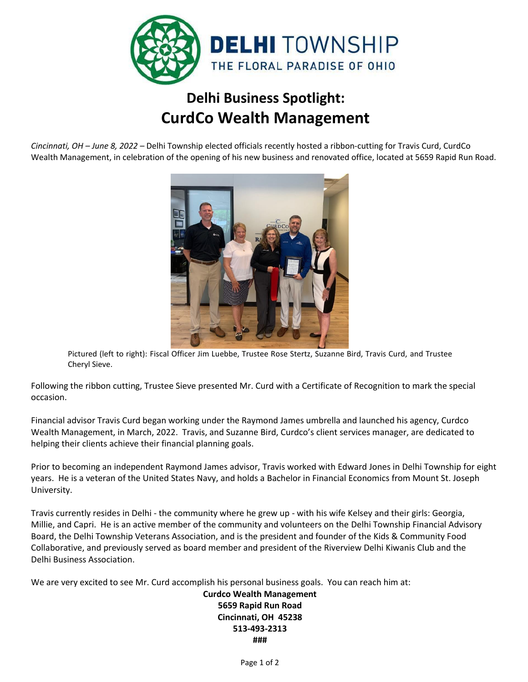

## **Delhi Business Spotlight: CurdCo Wealth Management**

*Cincinnati, OH – June 8, 2022 –* Delhi Township elected officials recently hosted a ribbon-cutting for Travis Curd, CurdCo Wealth Management, in celebration of the opening of his new business and renovated office, located at 5659 Rapid Run Road.



Pictured (left to right): Fiscal Officer Jim Luebbe, Trustee Rose Stertz, Suzanne Bird, Travis Curd, and Trustee Cheryl Sieve.

Following the ribbon cutting, Trustee Sieve presented Mr. Curd with a Certificate of Recognition to mark the special occasion.

Financial advisor Travis Curd began working under the Raymond James umbrella and launched his agency, Curdco Wealth Management, in March, 2022. Travis, and Suzanne Bird, Curdco's client services manager, are dedicated to helping their clients achieve their financial planning goals.

Prior to becoming an independent Raymond James advisor, Travis worked with Edward Jones in Delhi Township for eight years. He is a veteran of the United States Navy, and holds a Bachelor in Financial Economics from Mount St. Joseph University.

Travis currently resides in Delhi - the community where he grew up - with his wife Kelsey and their girls: Georgia, Millie, and Capri. He is an active member of the community and volunteers on the Delhi Township Financial Advisory Board, the Delhi Township Veterans Association, and is the president and founder of the Kids & Community Food Collaborative, and previously served as board member and president of the Riverview Delhi Kiwanis Club and the Delhi Business Association.

We are very excited to see Mr. Curd accomplish his personal business goals. You can reach him at:

## **Curdco Wealth Management 5659 Rapid Run Road Cincinnati, OH 45238 513-493-2313 ###**